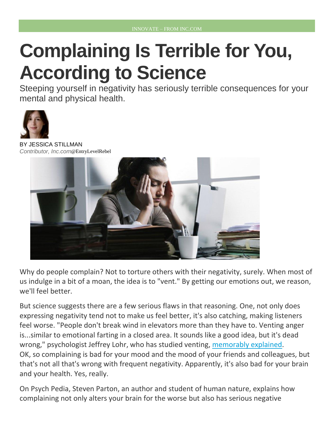## **Complaining Is Terrible for You, According to Science**

Steeping yourself in negativity has seriously terrible consequences for your mental and physical health.



ESSICA [STILLMAN](http://www.inc.com/author/jessica-stillman) *Contributor, Inc.com*@[EntryLevelRebel](http://www.twitter.com/EntryLevelRebel)



Why do people complain? Not to torture others with their negativity, surely. When most of us indulge in a bit of a moan, the idea is to "vent." By getting our emotions out, we reason, we'll feel better.

But science suggests there are a few serious flaws in that reasoning. One, not only does expressing negativity tend not to make us feel better, it's also catching, making listeners feel worse. "People don't break wind in elevators more than they have to. Venting anger is...similar to emotional farting in a closed area. It sounds like a good idea, but it's dead wrong," psychologist Jeffrey Lohr, who has studied venting, [memorably explained.](http://www.fastcompany.com/3032351/the-future-of-work/why-venting-about-work-actually-makes-you-angrier) OK, so complaining is bad for your mood and the mood of your friends and colleagues, but that's not all that's wrong with frequent negativity. Apparently, it's also bad for your brain and your health. Yes, really.

On Psych Pedia, Steven Parton, an author and student of human nature, explains how complaining not only alters your brain for the worse but also has serious negative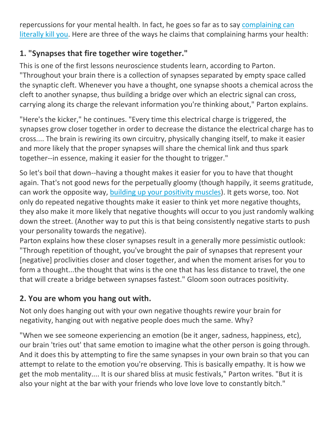repercussions for your mental health. In fact, he goes so far as to say [complaining can](http://psychpedia.blogspot.com.cy/2015/11/the-science-of-happiness-why.html)  [literally kill you.](http://psychpedia.blogspot.com.cy/2015/11/the-science-of-happiness-why.html) Here are three of the ways he claims that complaining harms your health:

## **1. "Synapses that fire together wire together."**

This is one of the first lessons neuroscience students learn, according to Parton. "Throughout your brain there is a collection of synapses separated by empty space called the synaptic cleft. Whenever you have a thought, one synapse shoots a chemical across the cleft to another synapse, thus building a bridge over which an electric signal can cross, carrying along its charge the relevant information you're thinking about," Parton explains.

"Here's the kicker," he continues. "Every time this electrical charge is triggered, the synapses grow closer together in order to decrease the distance the electrical charge has to cross.... The brain is rewiring its own circuitry, physically changing itself, to make it easier and more likely that the proper synapses will share the chemical link and thus spark together--in essence, making it easier for the thought to trigger."

So let's boil that down--having a thought makes it easier for you to have that thought again. That's not good news for the perpetually gloomy (though happily, it seems gratitude, can work the opposite way, [building up your positivity muscles\)](http://www.inc.com/jessica-stillman/the-amazing-way-gratitude-rewires-your-brain-for-happiness.html). It gets worse, too. Not only do repeated negative thoughts make it easier to think yet more negative thoughts, they also make it more likely that negative thoughts will occur to you just randomly walking down the street. (Another way to put this is that being consistently negative starts to push your personality towards the negative).

Parton explains how these closer synapses result in a generally more pessimistic outlook: "Through repetition of thought, you've brought the pair of synapses that represent your [negative] proclivities closer and closer together, and when the moment arises for you to form a thought...the thought that wins is the one that has less distance to travel, the one that will create a bridge between synapses fastest." Gloom soon outraces positivity.

## **2. You are whom you hang out with.**

Not only does hanging out with your own negative thoughts rewire your brain for negativity, hanging out with negative people does much the same. Why?

"When we see someone experiencing an emotion (be it anger, sadness, happiness, etc), our brain 'tries out' that same emotion to imagine what the other person is going through. And it does this by attempting to fire the same synapses in your own brain so that you can attempt to relate to the emotion you're observing. This is basically empathy. It is how we get the mob mentality.... It is our shared bliss at music festivals," Parton writes. "But it is also your night at the bar with your friends who love love love to constantly bitch."